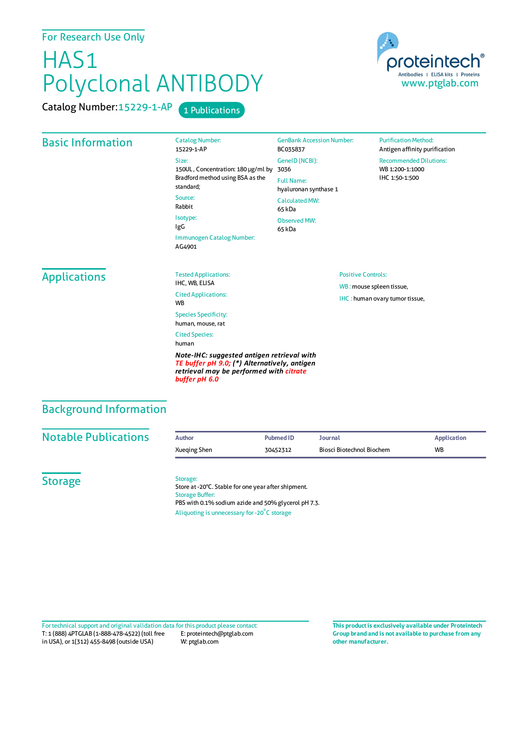# HAS1 Polyclonal ANTIBODY

Catalog Number: 15229-1-AP 1 Publications



Catalog Number: 15229-1-AP Size: 150UL , Concentration: 180 μg/ml by 3036

Bradford method using BSA asthe standard; Source: Rabbit Isotype: IgG Immunogen Catalog Number:

AG4901

GenBank Accession Number: BC035837 GeneID(NCBI): Full Name: hyaluronan synthase 1 CalculatedMW: 65 kDa Observed MW: 65 kDa

> Positive Controls: WB : mouse spleen tissue, IHC : human ovary tumor tissue,

**Purification Method:** Antigen affinity purification Recommended Dilutions: WB 1:200-1:1000 IHC 1:50-1:500

### Applications

Tested Applications: IHC, WB, ELISA Cited Applications: **W<sub>R</sub>** Species Specificity: human, mouse, rat Cited Species: human

*Note-IHC: suggested antigen retrieval with TE buffer pH 9.0; (\*) Alternatively, antigen retrieval may be performed with citrate buffer pH 6.0*

# Background Information

| <b>Notable Publications</b> | <b>Author</b> | Pubmed ID | Journal                   | <b>Application</b> |
|-----------------------------|---------------|-----------|---------------------------|--------------------|
|                             | Xueging Shen  | 30452312  | Biosci Biotechnol Biochem | <b>WB</b>          |
|                             |               |           |                           |                    |

**Storage** 

#### Storage:

Store at -20°C. Stable for one year after shipment. Storage Buffer: PBS with 0.1% sodium azide and 50% glycerol pH 7.3. Aliquoting is unnecessary for -20<sup>°</sup>C storage

T: 1 (888) 4PTGLAB (1-888-478-4522) (toll free in USA), or 1(312) 455-8498 (outside USA) E: proteintech@ptglab.com W: ptglab.com Fortechnical support and original validation data forthis product please contact: **This productis exclusively available under Proteintech**

**Group brand and is not available to purchase from any other manufacturer.**